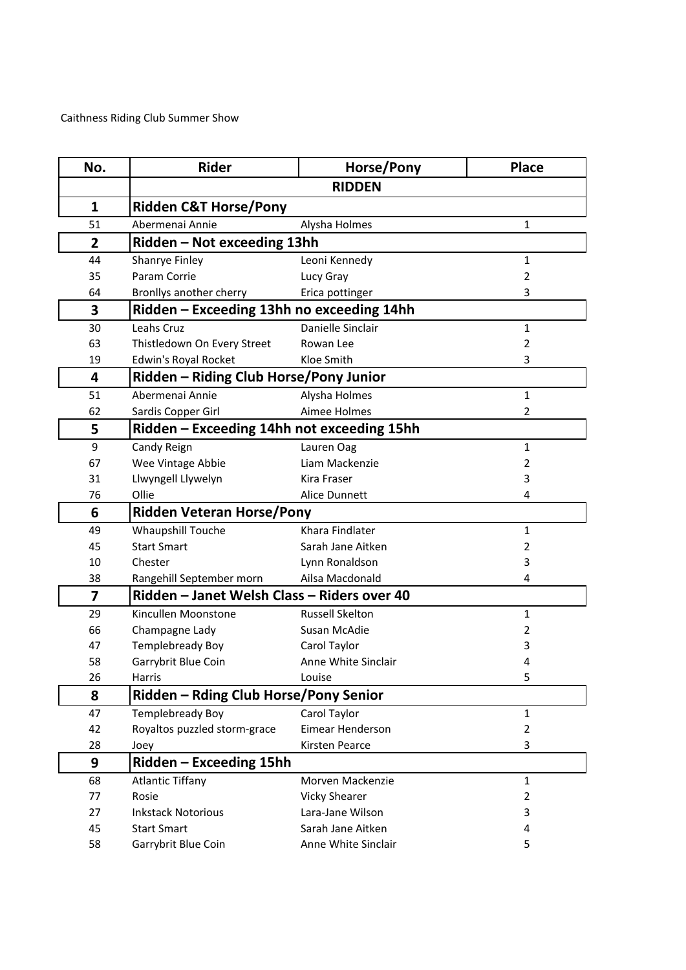Caithness Riding Club Summer Show

| No.            | <b>Rider</b>                                | Horse/Pony             | <b>Place</b>   |
|----------------|---------------------------------------------|------------------------|----------------|
|                |                                             | <b>RIDDEN</b>          |                |
| $\mathbf{1}$   | <b>Ridden C&amp;T Horse/Pony</b>            |                        |                |
| 51             | Abermenai Annie                             | Alysha Holmes          | $\mathbf{1}$   |
| $\overline{2}$ | Ridden - Not exceeding 13hh                 |                        |                |
| 44             | Shanrye Finley                              | Leoni Kennedy          | $\mathbf{1}$   |
| 35             | Param Corrie                                | Lucy Gray              | $\overline{2}$ |
| 64             | Bronllys another cherry                     | Erica pottinger        | 3              |
| 3              | Ridden - Exceeding 13hh no exceeding 14hh   |                        |                |
| 30             | Leahs Cruz                                  | Danielle Sinclair      | $\mathbf{1}$   |
| 63             | Thistledown On Every Street                 | Rowan Lee              | $\overline{2}$ |
| 19             | Edwin's Royal Rocket                        | Kloe Smith             | 3              |
| 4              | Ridden - Riding Club Horse/Pony Junior      |                        |                |
| 51             | Abermenai Annie                             | Alysha Holmes          | $\mathbf{1}$   |
| 62             | Sardis Copper Girl                          | Aimee Holmes           | 2              |
| 5              | Ridden – Exceeding 14hh not exceeding 15hh  |                        |                |
| 9              | Candy Reign                                 | Lauren Oag             | $\mathbf{1}$   |
| 67             | Wee Vintage Abbie                           | Liam Mackenzie         | $\overline{2}$ |
| 31             | Llwyngell Llywelyn                          | Kira Fraser            | 3              |
| 76             | Ollie                                       | Alice Dunnett          | 4              |
| 6              | <b>Ridden Veteran Horse/Pony</b>            |                        |                |
| 49             | Whaupshill Touche                           | Khara Findlater        | $\mathbf{1}$   |
| 45             | <b>Start Smart</b>                          | Sarah Jane Aitken      | $\overline{2}$ |
| 10             | Chester                                     | Lynn Ronaldson         | 3              |
| 38             | Rangehill September morn                    | Ailsa Macdonald        | 4              |
| $\overline{7}$ | Ridden - Janet Welsh Class - Riders over 40 |                        |                |
| 29             | Kincullen Moonstone                         | <b>Russell Skelton</b> | $\mathbf{1}$   |
| 66             | Champagne Lady                              | Susan McAdie           | $\overline{2}$ |
| 47             | Templebready Boy                            | Carol Taylor           | 3              |
| 58             | Garrybrit Blue Coin                         | Anne White Sinclair    | 4              |
| 26             | Harris                                      | Louise                 | 5              |
| 8              | Ridden - Rding Club Horse/Pony Senior       |                        |                |
| 47             | Templebready Boy                            | Carol Taylor           | $\mathbf{1}$   |
| 42             | Royaltos puzzled storm-grace                | Eimear Henderson       | $\overline{2}$ |
| 28             | Joey                                        | Kirsten Pearce         | 3              |
| 9              | Ridden - Exceeding 15hh                     |                        |                |
| 68             | <b>Atlantic Tiffany</b>                     | Morven Mackenzie       | $\mathbf{1}$   |
| 77             | Rosie                                       | <b>Vicky Shearer</b>   | $\overline{2}$ |
| 27             | <b>Inkstack Notorious</b>                   | Lara-Jane Wilson       | 3              |
| 45             | <b>Start Smart</b>                          | Sarah Jane Aitken      | 4              |
| 58             | Garrybrit Blue Coin                         | Anne White Sinclair    | 5              |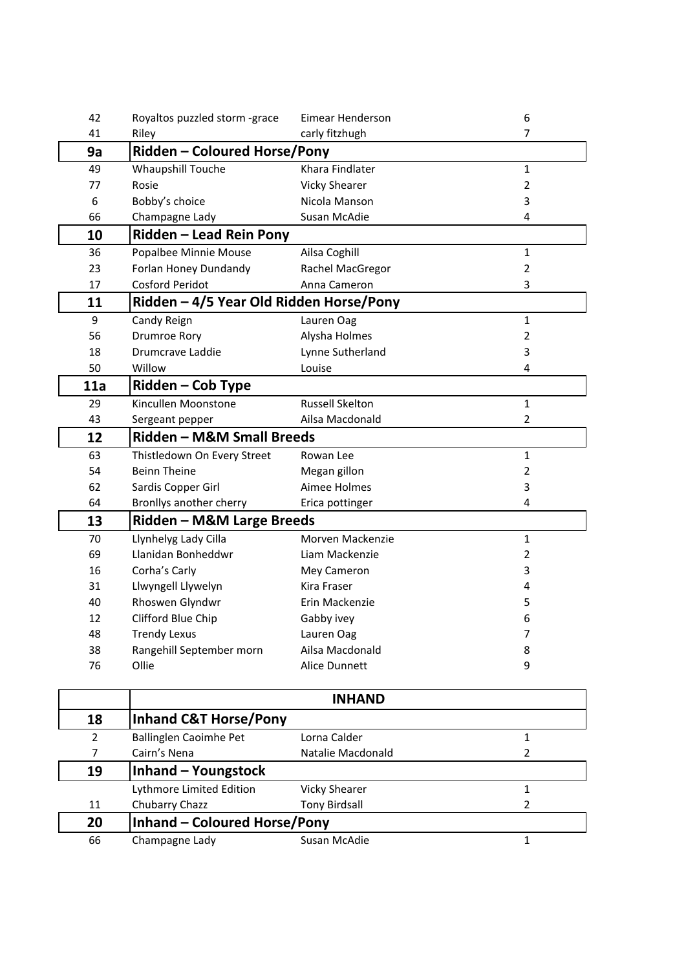| 42             | Royaltos puzzled storm -grace           | Eimear Henderson       | 6              |  |
|----------------|-----------------------------------------|------------------------|----------------|--|
| 41             | Riley                                   | carly fitzhugh         | $\overline{7}$ |  |
| 9a             | <b>Ridden - Coloured Horse/Pony</b>     |                        |                |  |
| 49             | Whaupshill Touche                       | Khara Findlater        | $\mathbf{1}$   |  |
| 77             | Rosie                                   | <b>Vicky Shearer</b>   | $\overline{2}$ |  |
| 6              | Bobby's choice                          | Nicola Manson          | 3              |  |
| 66             | Champagne Lady                          | Susan McAdie           | 4              |  |
| 10             | Ridden – Lead Rein Pony                 |                        |                |  |
| 36             | Popalbee Minnie Mouse                   | Ailsa Coghill          | $\mathbf{1}$   |  |
| 23             | Forlan Honey Dundandy                   | Rachel MacGregor       | $\overline{2}$ |  |
| 17             | <b>Cosford Peridot</b>                  | Anna Cameron           | 3              |  |
| 11             | Ridden - 4/5 Year Old Ridden Horse/Pony |                        |                |  |
| 9              | Candy Reign                             | Lauren Oag             | $\mathbf{1}$   |  |
| 56             | <b>Drumroe Rory</b>                     | Alysha Holmes          | $\overline{2}$ |  |
| 18             | Drumcrave Laddie                        | Lynne Sutherland       | 3              |  |
| 50             | Willow                                  | Louise                 | 4              |  |
| 11a            | Ridden - Cob Type                       |                        |                |  |
| 29             | Kincullen Moonstone                     | <b>Russell Skelton</b> | $\mathbf{1}$   |  |
| 43             | Sergeant pepper                         | Ailsa Macdonald        | 2              |  |
| 12             | Ridden - M&M Small Breeds               |                        |                |  |
| 63             | Thistledown On Every Street             | Rowan Lee              | $\mathbf{1}$   |  |
| 54             | <b>Beinn Theine</b>                     | Megan gillon           | $\overline{2}$ |  |
| 62             | Sardis Copper Girl                      | Aimee Holmes           | 3              |  |
| 64             | Bronllys another cherry                 | Erica pottinger        | 4              |  |
| 13             | Ridden - M&M Large Breeds               |                        |                |  |
| 70             | Llynhelyg Lady Cilla                    | Morven Mackenzie       | $\mathbf{1}$   |  |
| 69             | Llanidan Bonheddwr                      | Liam Mackenzie         | $\overline{2}$ |  |
| 16             | Corha's Carly                           | Mey Cameron            | 3              |  |
| 31             | Llwyngell Llywelyn                      | Kira Fraser            | 4              |  |
| 40             | Rhoswen Glyndwr                         | Erin Mackenzie         | 5              |  |
| 12             | Clifford Blue Chip                      | Gabby ivey             | 6              |  |
| 48             | <b>Trendy Lexus</b>                     | Lauren Oag             | 7              |  |
| 38             | Rangehill September morn                | Ailsa Macdonald        | 8              |  |
| 76             | Ollie                                   | Alice Dunnett          | 9              |  |
|                |                                         |                        |                |  |
|                |                                         | <b>INHAND</b>          |                |  |
| 18             | <b>Inhand C&amp;T Horse/Pony</b>        |                        |                |  |
| $\overline{2}$ | <b>Ballinglen Caoimhe Pet</b>           | Lorna Calder           | $\mathbf{1}$   |  |
| 7              | Cairn's Nena                            | Natalie Macdonald      | 2              |  |
| 19             | <b>Inhand - Youngstock</b>              |                        |                |  |
|                | Lythmore Limited Edition                | <b>Vicky Shearer</b>   | $\mathbf{1}$   |  |
| 11             | Chubarry Chazz                          | <b>Tony Rirdsall</b>   | C              |  |

| 19 | Inhand - Youngstock          |                      |  |
|----|------------------------------|----------------------|--|
|    | Lythmore Limited Edition     | <b>Vicky Shearer</b> |  |
| 11 | Chubarry Chazz               | <b>Tony Birdsall</b> |  |
| 20 | Inhand - Coloured Horse/Pony |                      |  |
| 66 | Champagne Lady               | Susan McAdie         |  |
|    |                              |                      |  |
|    |                              |                      |  |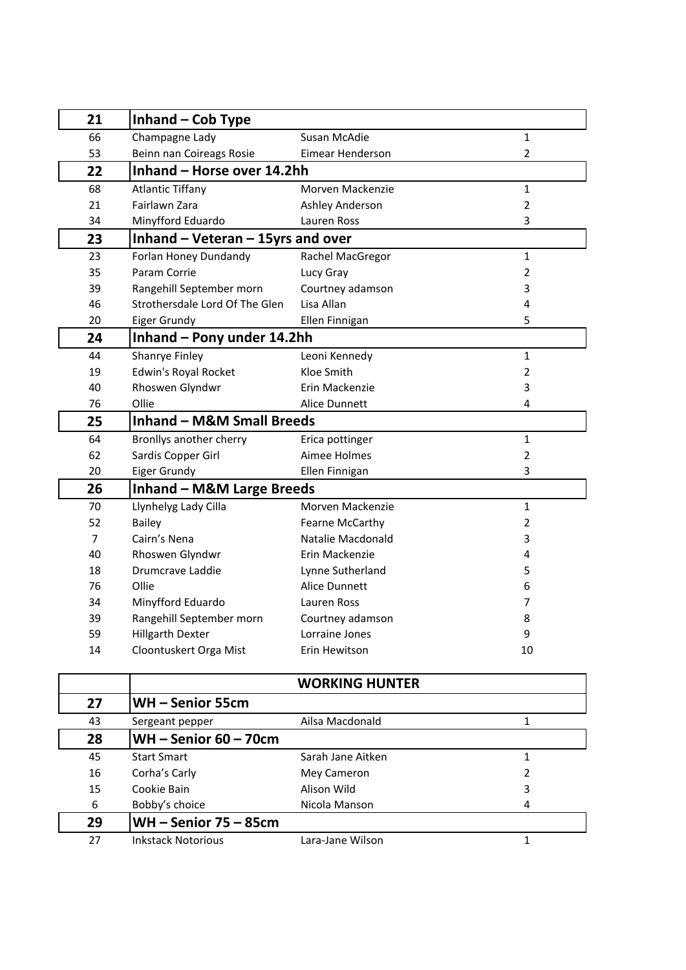| 21             | Inhand - Cob Type                     |                        |                |
|----------------|---------------------------------------|------------------------|----------------|
| 66             | Champagne Lady                        | Susan McAdie           | $\mathbf{1}$   |
| 53             | Beinn nan Coireags Rosie              | Eimear Henderson       | $\overline{2}$ |
| 22             | Inhand - Horse over 14.2hh            |                        |                |
| 68             | <b>Atlantic Tiffany</b>               | Morven Mackenzie       | $\mathbf{1}$   |
| 21             | Fairlawn Zara                         | <b>Ashley Anderson</b> | $\overline{2}$ |
| 34             | Minyfford Eduardo                     | Lauren Ross            | 3              |
| 23             | Inhand $-$ Veteran $-$ 15yrs and over |                        |                |
| 23             | Forlan Honey Dundandy                 | Rachel MacGregor       | $\mathbf{1}$   |
| 35             | Param Corrie                          | Lucy Gray              | $\overline{2}$ |
| 39             | Rangehill September morn              | Courtney adamson       | 3              |
| 46             | Strothersdale Lord Of The Glen        | Lisa Allan             | 4              |
| 20             | Eiger Grundy                          | Ellen Finnigan         | 5              |
| 24             | Inhand - Pony under 14.2hh            |                        |                |
| 44             | Shanrye Finley                        | Leoni Kennedy          | $\mathbf 1$    |
| 19             | Edwin's Royal Rocket                  | Kloe Smith             | $\overline{2}$ |
| 40             | Rhoswen Glyndwr                       | Erin Mackenzie         | 3              |
| 76             | Ollie                                 | Alice Dunnett          | 4              |
| 25             | <b>Inhand - M&amp;M Small Breeds</b>  |                        |                |
| 64             | Bronllys another cherry               | Erica pottinger        | 1              |
| 62             | Sardis Copper Girl                    | Aimee Holmes           | $\overline{2}$ |
| 20             | Eiger Grundy                          | Ellen Finnigan         | 3              |
| 26             | <b>Inhand - M&amp;M Large Breeds</b>  |                        |                |
| 70             | Llynhelyg Lady Cilla                  | Morven Mackenzie       | 1              |
| 52             | <b>Bailey</b>                         | Fearne McCarthy        | $\overline{2}$ |
| $\overline{7}$ | Cairn's Nena                          | Natalie Macdonald      | 3              |
| 40             | Rhoswen Glyndwr                       | Erin Mackenzie         | 4              |
| 18             | Drumcrave Laddie                      | Lynne Sutherland       | 5              |
| 76             | Ollie                                 | Alice Dunnett          | 6              |
| 34             | Minyfford Eduardo                     | Lauren Ross            | 7              |
| 39             | Rangehill September morn              | Courtney adamson       | 8              |
| 59             | <b>Hillgarth Dexter</b>               | Lorraine Jones         | 9              |
| 14             | Cloontuskert Orga Mist                | Erin Hewitson          | 10             |

|    |                           | <b>WORKING HUNTER</b> |   |
|----|---------------------------|-----------------------|---|
| 27 | WH-Senior 55cm            |                       |   |
| 43 | Sergeant pepper           | Ailsa Macdonald       |   |
| 28 | $WH -$ Senior 60 - 70cm   |                       |   |
| 45 | <b>Start Smart</b>        | Sarah Jane Aitken     |   |
| 16 | Corha's Carly             | Mey Cameron           | 2 |
| 15 | Cookie Bain               | Alison Wild           | 3 |
| 6  | Bobby's choice            | Nicola Manson         | 4 |
| 29 | $WH -$ Senior 75 - 85cm   |                       |   |
| 27 | <b>Inkstack Notorious</b> | Lara-Jane Wilson      |   |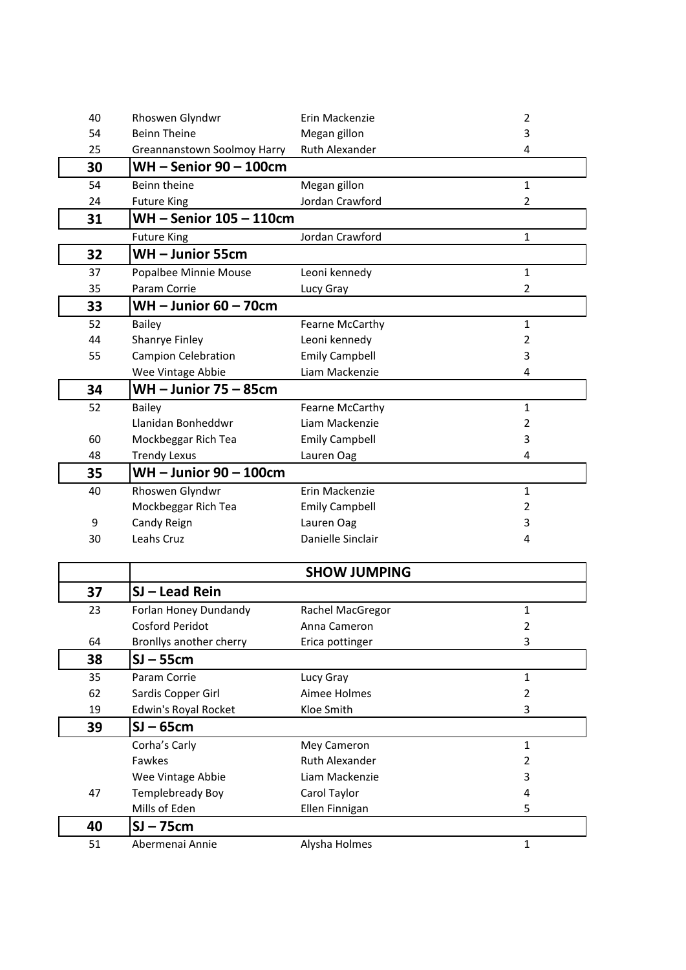| 40 | Rhoswen Glyndwr             | Erin Mackenzie        | 2              |
|----|-----------------------------|-----------------------|----------------|
| 54 | <b>Beinn Theine</b>         | Megan gillon          | 3              |
| 25 | Greannanstown Soolmoy Harry | Ruth Alexander        | 4              |
| 30 | <b>WH-Senior 90-100cm</b>   |                       |                |
| 54 | Beinn theine                | Megan gillon          | $\mathbf{1}$   |
| 24 | <b>Future King</b>          | Jordan Crawford       | 2              |
| 31 | WH-Senior 105-110cm         |                       |                |
|    | <b>Future King</b>          | Jordan Crawford       | 1              |
| 32 | WH-Junior 55cm              |                       |                |
| 37 | Popalbee Minnie Mouse       | Leoni kennedy         | $\mathbf{1}$   |
| 35 | Param Corrie                | Lucy Gray             | $\overline{2}$ |
| 33 | <b>WH-Junior 60-70cm</b>    |                       |                |
| 52 | <b>Bailey</b>               | Fearne McCarthy       | $\mathbf{1}$   |
| 44 | Shanrye Finley              | Leoni kennedy         | 2              |
| 55 | <b>Campion Celebration</b>  | <b>Emily Campbell</b> | 3              |
|    | Wee Vintage Abbie           | Liam Mackenzie        | 4              |
| 34 | <b>WH-Junior 75-85cm</b>    |                       |                |
| 52 | <b>Bailey</b>               | Fearne McCarthy       | $\mathbf{1}$   |
|    | Llanidan Bonheddwr          | Liam Mackenzie        | 2              |
| 60 | Mockbeggar Rich Tea         | <b>Emily Campbell</b> | 3              |
| 48 | <b>Trendy Lexus</b>         | Lauren Oag            | 4              |
| 35 | WH-Junior 90-100cm          |                       |                |
| 40 | Rhoswen Glyndwr             | Erin Mackenzie        | $\mathbf{1}$   |
|    | Mockbeggar Rich Tea         | <b>Emily Campbell</b> | 2              |
| 9  | Candy Reign                 | Lauren Oag            | 3              |
| 30 | Leahs Cruz                  | Danielle Sinclair     | 4              |
|    |                             | <b>SHOW JUMPING</b>   |                |
|    |                             |                       |                |
| 37 | <b>SJ-Lead Rein</b>         |                       |                |
| 23 | Forlan Honey Dundandy       | Rachel MacGregor      | 1              |
|    | <b>Cosford Peridot</b>      | Anna Cameron          | $\overline{2}$ |
| 64 | Bronllys another cherry     | Erica pottinger       | 3              |
| 38 | $SI - 55cm$                 |                       |                |
| 35 | Param Corrie                | Lucy Gray             | $\mathbf{1}$   |
| 62 | Sardis Copper Girl          | Aimee Holmes          | 2              |
| 19 | Edwin's Royal Rocket        | Kloe Smith            | 3              |
| 39 | $SI - 65cm$                 |                       |                |
|    | Corha's Carly               | Mey Cameron           | $\mathbf{1}$   |
|    | Fawkes                      | <b>Ruth Alexander</b> | 2              |
|    | Wee Vintage Abbie           | Liam Mackenzie        | 3              |
| 47 | Templebready Boy            | Carol Taylor          | 4              |
|    | Mills of Eden               | Ellen Finnigan        | 5              |
| 40 | $SI - 75cm$                 |                       |                |
| 51 | Abermenai Annie             | Alysha Holmes         | $\mathbf{1}$   |